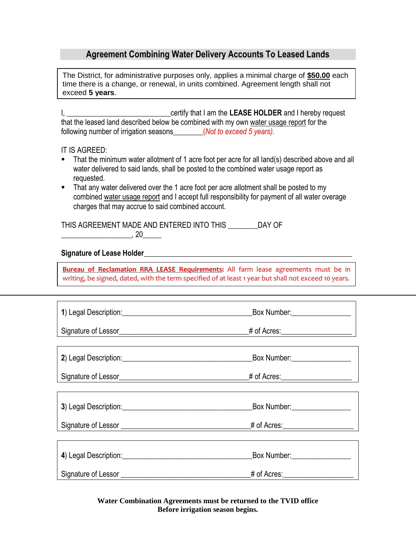## **Agreement Combining Water Delivery Accounts To Leased Lands**

The District, for administrative purposes only, applies a minimal charge of **\$50.00** each time there is a change, or renewal, in units combined. Agreement length shall not exceed **5 years**.

I, \_\_\_\_\_\_\_\_\_\_\_\_\_\_\_\_\_\_\_\_\_\_\_\_\_\_\_\_certify that I am the **LEASE HOLDER** and I hereby request that the leased land described below be combined with my own water usage report for the following number of irrigation seasons\_\_\_\_\_\_\_\_(*Not to exceed 5 years).*

## IT IS AGREED:

- That the minimum water allotment of 1 acre foot per acre for all land(s) described above and all water delivered to said lands, shall be posted to the combined water usage report as requested.
- That any water delivered over the 1 acre foot per acre allotment shall be posted to my combined water usage report and I accept full responsibility for payment of all water overage charges that may accrue to said combined account.

THIS AGREEMENT MADE AND ENTERED INTO THIS \_\_\_\_\_\_\_\_DAY OF \_\_\_\_\_\_\_\_\_\_\_\_\_\_\_\_\_\_\_, 20\_\_\_\_\_

## **Signature of Lease Holder**\_\_\_\_\_\_\_\_\_\_\_\_\_\_\_\_\_\_\_\_\_\_\_\_\_\_\_\_\_\_\_\_\_\_\_\_\_\_\_\_\_\_\_\_\_\_\_\_\_\_\_\_\_\_\_\_

**Bureau of Reclamation RRA LEASE Requirements:** All farm lease agreements must be in writing, be signed, dated, with the term specified of at least 1 year but shall not exceed 10 years.

|                     | Box Number:                 |
|---------------------|-----------------------------|
|                     |                             |
|                     |                             |
|                     | Box Number: 1988            |
|                     |                             |
|                     | Box Number: _______________ |
|                     |                             |
|                     |                             |
| Signature of Lessor | # of Acres:                 |

**Water Combination Agreements must be returned to the TVID office Before irrigation season begins.**